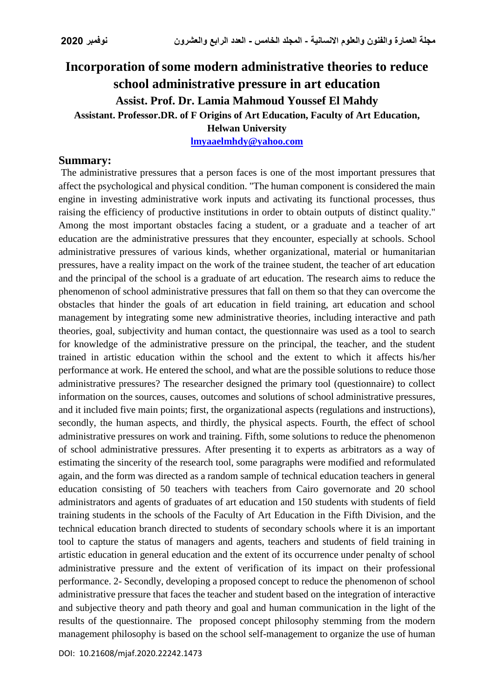# **Incorporation ofsome modern administrative theories to reduce school administrative pressure in art education Assist. Prof. Dr. Lamia Mahmoud Youssef El Mahdy Assistant. Professor.DR. of F Origins of Art Education, Faculty of Art Education, Helwan University**

**[lmyaaelmhdy@yahoo.com](mailto:lmyaaelmhdy@yahoo.com)**

## **Summary:**

The administrative pressures that a person faces is one of the most important pressures that affect the psychological and physical condition. "The human component is considered the main engine in investing administrative work inputs and activating its functional processes, thus raising the efficiency of productive institutions in order to obtain outputs of distinct quality." Among the most important obstacles facing a student, or a graduate and a teacher of art education are the administrative pressures that they encounter, especially at schools. School administrative pressures of various kinds, whether organizational, material or humanitarian pressures, have a reality impact on the work of the trainee student, the teacher of art education and the principal of the school is a graduate of art education. The research aims to reduce the phenomenon of school administrative pressures that fall on them so that they can overcome the obstacles that hinder the goals of art education in field training, art education and school management by integrating some new administrative theories, including interactive and path theories, goal, subjectivity and human contact, the questionnaire was used as a tool to search for knowledge of the administrative pressure on the principal, the teacher, and the student trained in artistic education within the school and the extent to which it affects his/her performance at work. He entered the school, and what are the possible solutions to reduce those administrative pressures? The researcher designed the primary tool (questionnaire) to collect information on the sources, causes, outcomes and solutions of school administrative pressures, and it included five main points; first, the organizational aspects (regulations and instructions), secondly, the human aspects, and thirdly, the physical aspects. Fourth, the effect of school administrative pressures on work and training. Fifth, some solutions to reduce the phenomenon of school administrative pressures. After presenting it to experts as arbitrators as a way of estimating the sincerity of the research tool, some paragraphs were modified and reformulated again, and the form was directed as a random sample of technical education teachers in general education consisting of 50 teachers with teachers from Cairo governorate and 20 school administrators and agents of graduates of art education and 150 students with students of field training students in the schools of the Faculty of Art Education in the Fifth Division, and the technical education branch directed to students of secondary schools where it is an important tool to capture the status of managers and agents, teachers and students of field training in artistic education in general education and the extent of its occurrence under penalty of school administrative pressure and the extent of verification of its impact on their professional performance. 2- Secondly, developing a proposed concept to reduce the phenomenon of school administrative pressure that faces the teacher and student based on the integration of interactive and subjective theory and path theory and goal and human communication in the light of the results of the questionnaire. The proposed concept philosophy stemming from the modern management philosophy is based on the school self-management to organize the use of human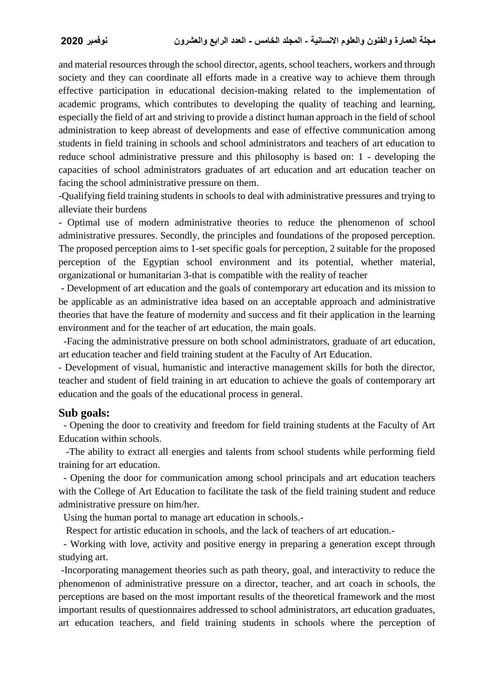and material resources through the school director, agents, school teachers, workers and through society and they can coordinate all efforts made in a creative way to achieve them through effective participation in educational decision-making related to the implementation of academic programs, which contributes to developing the quality of teaching and learning, especially the field of art and striving to provide a distinct human approach in the field of school administration to keep abreast of developments and ease of effective communication among students in field training in schools and school administrators and teachers of art education to reduce school administrative pressure and this philosophy is based on: 1 - developing the capacities of school administrators graduates of art education and art education teacher on facing the school administrative pressure on them.

-Qualifying field training students in schools to deal with administrative pressures and trying to alleviate their burdens

- Optimal use of modern administrative theories to reduce the phenomenon of school administrative pressures. Secondly, the principles and foundations of the proposed perception. The proposed perception aims to 1-set specific goals for perception, 2 suitable for the proposed perception of the Egyptian school environment and its potential, whether material, organizational or humanitarian 3-that is compatible with the reality of teacher

- Development of art education and the goals of contemporary art education and its mission to be applicable as an administrative idea based on an acceptable approach and administrative theories that have the feature of modernity and success and fit their application in the learning environment and for the teacher of art education, the main goals.

-Facing the administrative pressure on both school administrators, graduate of art education, art education teacher and field training student at the Faculty of Art Education.

- Development of visual, humanistic and interactive management skills for both the director, teacher and student of field training in art education to achieve the goals of contemporary art education and the goals of the educational process in general.

### **Sub goals:**

- Opening the door to creativity and freedom for field training students at the Faculty of Art Education within schools.

 -The ability to extract all energies and talents from school students while performing field training for art education.

- Opening the door for communication among school principals and art education teachers with the College of Art Education to facilitate the task of the field training student and reduce administrative pressure on him/her.

Using the human portal to manage art education in schools.-

Respect for artistic education in schools, and the lack of teachers of art education.-

- Working with love, activity and positive energy in preparing a generation except through studying art.

-Incorporating management theories such as path theory, goal, and interactivity to reduce the phenomenon of administrative pressure on a director, teacher, and art coach in schools, the perceptions are based on the most important results of the theoretical framework and the most important results of questionnaires addressed to school administrators, art education graduates, art education teachers, and field training students in schools where the perception of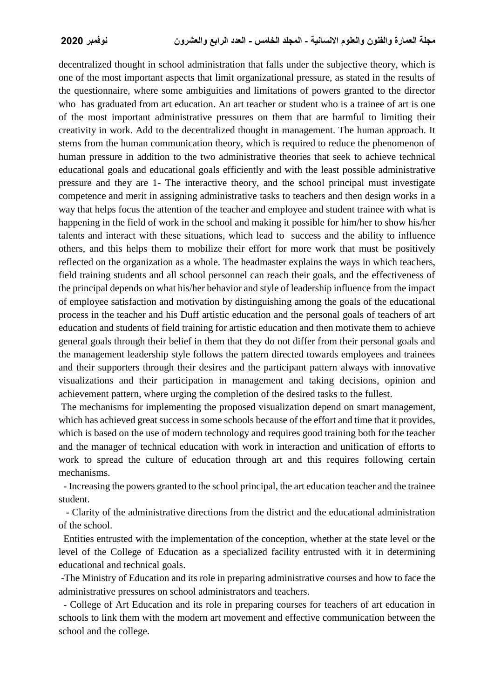decentralized thought in school administration that falls under the subjective theory, which is one of the most important aspects that limit organizational pressure, as stated in the results of the questionnaire, where some ambiguities and limitations of powers granted to the director who has graduated from art education. An art teacher or student who is a trainee of art is one of the most important administrative pressures on them that are harmful to limiting their creativity in work. Add to the decentralized thought in management. The human approach. It stems from the human communication theory, which is required to reduce the phenomenon of human pressure in addition to the two administrative theories that seek to achieve technical educational goals and educational goals efficiently and with the least possible administrative pressure and they are 1- The interactive theory, and the school principal must investigate competence and merit in assigning administrative tasks to teachers and then design works in a way that helps focus the attention of the teacher and employee and student trainee with what is happening in the field of work in the school and making it possible for him/her to show his/her talents and interact with these situations, which lead to success and the ability to influence others, and this helps them to mobilize their effort for more work that must be positively reflected on the organization as a whole. The headmaster explains the ways in which teachers, field training students and all school personnel can reach their goals, and the effectiveness of the principal depends on what his/her behavior and style of leadership influence from the impact of employee satisfaction and motivation by distinguishing among the goals of the educational process in the teacher and his Duff artistic education and the personal goals of teachers of art education and students of field training for artistic education and then motivate them to achieve general goals through their belief in them that they do not differ from their personal goals and the management leadership style follows the pattern directed towards employees and trainees and their supporters through their desires and the participant pattern always with innovative visualizations and their participation in management and taking decisions, opinion and achievement pattern, where urging the completion of the desired tasks to the fullest.

The mechanisms for implementing the proposed visualization depend on smart management, which has achieved great success in some schools because of the effort and time that it provides, which is based on the use of modern technology and requires good training both for the teacher and the manager of technical education with work in interaction and unification of efforts to work to spread the culture of education through art and this requires following certain mechanisms.

- Increasing the powers granted to the school principal, the art education teacher and the trainee student.

 - Clarity of the administrative directions from the district and the educational administration of the school.

Entities entrusted with the implementation of the conception, whether at the state level or the level of the College of Education as a specialized facility entrusted with it in determining educational and technical goals.

-The Ministry of Education and its role in preparing administrative courses and how to face the administrative pressures on school administrators and teachers.

- College of Art Education and its role in preparing courses for teachers of art education in schools to link them with the modern art movement and effective communication between the school and the college.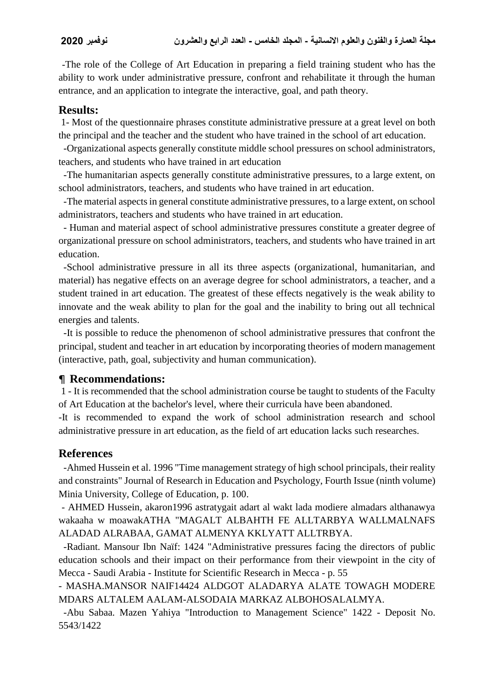-The role of the College of Art Education in preparing a field training student who has the ability to work under administrative pressure, confront and rehabilitate it through the human entrance, and an application to integrate the interactive, goal, and path theory.

# **Results:**

1- Most of the questionnaire phrases constitute administrative pressure at a great level on both the principal and the teacher and the student who have trained in the school of art education.

-Organizational aspects generally constitute middle school pressures on school administrators, teachers, and students who have trained in art education

-The humanitarian aspects generally constitute administrative pressures, to a large extent, on school administrators, teachers, and students who have trained in art education.

-The material aspects in general constitute administrative pressures, to a large extent, on school administrators, teachers and students who have trained in art education.

- Human and material aspect of school administrative pressures constitute a greater degree of organizational pressure on school administrators, teachers, and students who have trained in art education.

-School administrative pressure in all its three aspects (organizational, humanitarian, and material) has negative effects on an average degree for school administrators, a teacher, and a student trained in art education. The greatest of these effects negatively is the weak ability to innovate and the weak ability to plan for the goal and the inability to bring out all technical energies and talents.

-It is possible to reduce the phenomenon of school administrative pressures that confront the principal, student and teacher in art education by incorporating theories of modern management (interactive, path, goal, subjectivity and human communication).

## ¶ **Recommendations:**

1 - It is recommended that the school administration course be taught to students of the Faculty of Art Education at the bachelor's level, where their curricula have been abandoned.

-It is recommended to expand the work of school administration research and school administrative pressure in art education, as the field of art education lacks such researches.

# **References**

-Ahmed Hussein et al. 1996 "Time management strategy of high school principals, their reality and constraints" Journal of Research in Education and Psychology, Fourth Issue (ninth volume) Minia University, College of Education, p. 100.

- AHMED Hussein, akaron1996 astratygait adart al wakt lada modiere almadars althanawya wakaaha w moawakATHA "MAGALT ALBAHTH FE ALLTARBYA WALLMALNAFS ALADAD ALRABAA, GAMAT ALMENYA KKLYATT ALLTRBYA.

-Radiant. Mansour Ibn Naïf: 1424 "Administrative pressures facing the directors of public education schools and their impact on their performance from their viewpoint in the city of Mecca - Saudi Arabia - Institute for Scientific Research in Mecca - p. 55

- MASHA.MANSOR NAIF14424 ALDGOT ALADARYA ALATE TOWAGH MODERE MDARS ALTALEM AALAM-ALSODAIA MARKAZ ALBOHOSALALMYA.

-Abu Sabaa. Mazen Yahiya "Introduction to Management Science" 1422 - Deposit No. 5543/1422